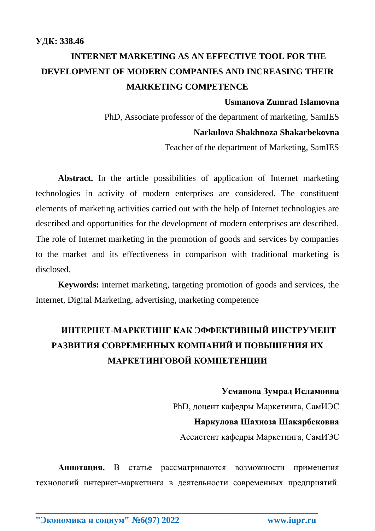# **INTERNET MARKETING AS AN EFFECTIVE TOOL FOR THE DEVELOPMENT OF MODERN COMPANIES AND INCREASING THEIR MARKETING COMPETENCE**

### **Usmanova Zumrad Islamovna**

PhD, Associate professor of the department of marketing, SamIES **Narkulova Shakhnoza Shakarbekovna**

Teacher of the department of Marketing, SamIES

**Abstract.** In the article possibilities of application of Internet marketing technologies in activity of modern enterprises are considered. The constituent elements of marketing activities carried out with the help of Internet technologies are described and opportunities for the development of modern enterprises are described. The role of Internet marketing in the promotion of goods and services by companies to the market and its effectiveness in comparison with traditional marketing is disclosed.

**Keywords:** internet marketing, targeting promotion of goods and services, the Internet, Digital Marketing, advertising, marketing competence

## **ИНТЕРНЕТ-МАРКЕТИНГ КАК ЭФФЕКТИВНЫЙ ИНСТРУМЕНТ РАЗВИТИЯ СОВРЕМЕННЫХ КОМПАНИЙ И ПОВЫШЕНИЯ ИХ МАРКЕТИНГОВОЙ КОМПЕТЕНЦИИ**

**Усманова Зумрад Исламовна** PhD, доцент кафедры Маркетинга, СамИЭС **Наркулова Шахноза Шакарбековна** Ассистент кафедры Маркетинга, СамИЭС

**Аннотация.** В статье рассматриваются возможности применения технологий интернет-маркетинга в деятельности современных предприятий.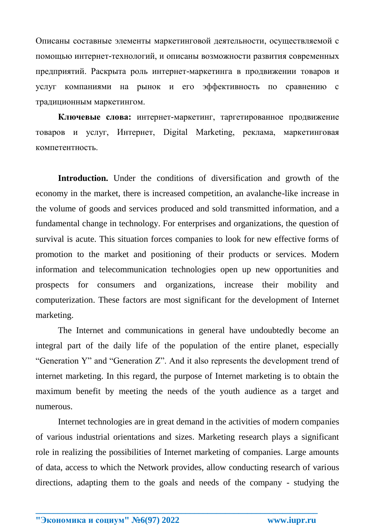Описаны составные элементы маркетинговой деятельности, осуществляемой с помощью интернет-технологий, и описаны возможности развития современных предприятий. Раскрыта роль интернет-маркетинга в продвижении товаров и услуг компаниями на рынок и его эффективность по сравнению с традиционным маркетингом.

**Ключевые слова:** интернет-маркетинг, таргетированное продвижение товаров и услуг, Интернет, Digital Marketing, реклама, маркетинговая компетентность.

**Introduction.** Under the conditions of diversification and growth of the economy in the market, there is increased competition, an avalanche-like increase in the volume of goods and services produced and sold transmitted information, and a fundamental change in technology. For enterprises and organizations, the question of survival is acute. This situation forces companies to look for new effective forms of promotion to the market and positioning of their products or services. Modern information and telecommunication technologies open up new opportunities and prospects for consumers and organizations, increase their mobility and computerization. These factors are most significant for the development of Internet marketing.

The Internet and communications in general have undoubtedly become an integral part of the daily life of the population of the entire planet, especially "Generation Y" and "Generation Z". And it also represents the development trend of internet marketing. In this regard, the purpose of Internet marketing is to obtain the maximum benefit by meeting the needs of the youth audience as a target and numerous.

Internet technologies are in great demand in the activities of modern companies of various industrial orientations and sizes. Marketing research plays a significant role in realizing the possibilities of Internet marketing of companies. Large amounts of data, access to which the Network provides, allow conducting research of various directions, adapting them to the goals and needs of the company - studying the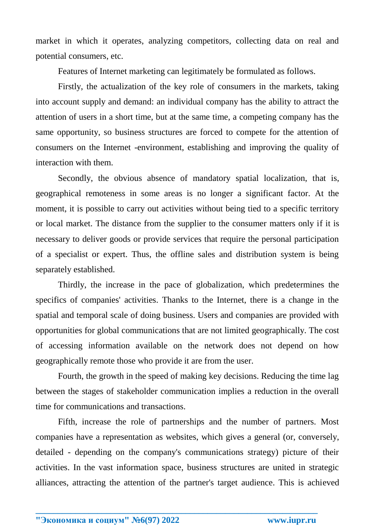market in which it operates, analyzing competitors, collecting data on real and potential consumers, etc.

Features of Internet marketing can legitimately be formulated as follows.

Firstly, the actualization of the key role of consumers in the markets, taking into account supply and demand: an individual company has the ability to attract the attention of users in a short time, but at the same time, a competing company has the same opportunity, so business structures are forced to compete for the attention of consumers on the Internet -environment, establishing and improving the quality of interaction with them.

Secondly, the obvious absence of mandatory spatial localization, that is, geographical remoteness in some areas is no longer a significant factor. At the moment, it is possible to carry out activities without being tied to a specific territory or local market. The distance from the supplier to the consumer matters only if it is necessary to deliver goods or provide services that require the personal participation of a specialist or expert. Thus, the offline sales and distribution system is being separately established.

Thirdly, the increase in the pace of globalization, which predetermines the specifics of companies' activities. Thanks to the Internet, there is a change in the spatial and temporal scale of doing business. Users and companies are provided with opportunities for global communications that are not limited geographically. The cost of accessing information available on the network does not depend on how geographically remote those who provide it are from the user.

Fourth, the growth in the speed of making key decisions. Reducing the time lag between the stages of stakeholder communication implies a reduction in the overall time for communications and transactions.

Fifth, increase the role of partnerships and the number of partners. Most companies have a representation as websites, which gives a general (or, conversely, detailed - depending on the company's communications strategy) picture of their activities. In the vast information space, business structures are united in strategic alliances, attracting the attention of the partner's target audience. This is achieved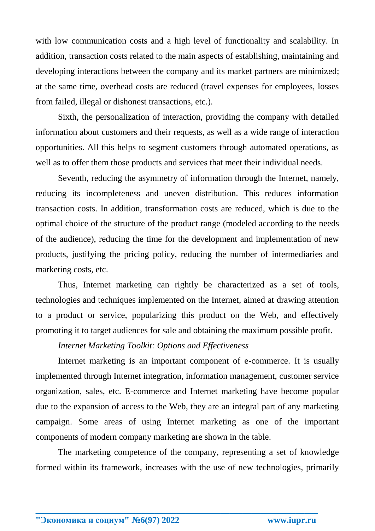with low communication costs and a high level of functionality and scalability. In addition, transaction costs related to the main aspects of establishing, maintaining and developing interactions between the company and its market partners are minimized; at the same time, overhead costs are reduced (travel expenses for employees, losses from failed, illegal or dishonest transactions, etc.).

Sixth, the personalization of interaction, providing the company with detailed information about customers and their requests, as well as a wide range of interaction opportunities. All this helps to segment customers through automated operations, as well as to offer them those products and services that meet their individual needs.

Seventh, reducing the asymmetry of information through the Internet, namely, reducing its incompleteness and uneven distribution. This reduces information transaction costs. In addition, transformation costs are reduced, which is due to the optimal choice of the structure of the product range (modeled according to the needs of the audience), reducing the time for the development and implementation of new products, justifying the pricing policy, reducing the number of intermediaries and marketing costs, etc.

Thus, Internet marketing can rightly be characterized as a set of tools, technologies and techniques implemented on the Internet, aimed at drawing attention to a product or service, popularizing this product on the Web, and effectively promoting it to target audiences for sale and obtaining the maximum possible profit.

#### *Internet Marketing Toolkit: Options and Effectiveness*

Internet marketing is an important component of e-commerce. It is usually implemented through Internet integration, information management, customer service organization, sales, etc. E-commerce and Internet marketing have become popular due to the expansion of access to the Web, they are an integral part of any marketing campaign. Some areas of using Internet marketing as one of the important components of modern company marketing are shown in the table.

The marketing competence of the company, representing a set of knowledge formed within its framework, increases with the use of new technologies, primarily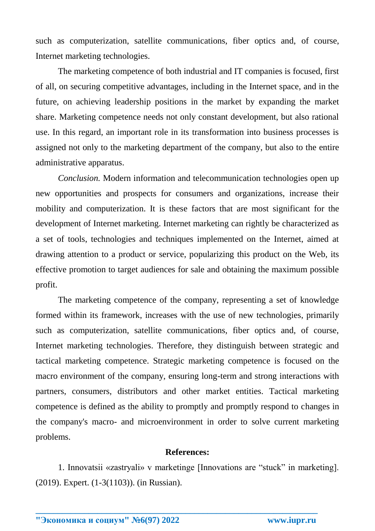such as computerization, satellite communications, fiber optics and, of course, Internet marketing technologies.

The marketing competence of both industrial and IT companies is focused, first of all, on securing competitive advantages, including in the Internet space, and in the future, on achieving leadership positions in the market by expanding the market share. Marketing competence needs not only constant development, but also rational use. In this regard, an important role in its transformation into business processes is assigned not only to the marketing department of the company, but also to the entire administrative apparatus.

*Conclusion.* Modern information and telecommunication technologies open up new opportunities and prospects for consumers and organizations, increase their mobility and computerization. It is these factors that are most significant for the development of Internet marketing. Internet marketing can rightly be characterized as a set of tools, technologies and techniques implemented on the Internet, aimed at drawing attention to a product or service, popularizing this product on the Web, its effective promotion to target audiences for sale and obtaining the maximum possible profit.

The marketing competence of the company, representing a set of knowledge formed within its framework, increases with the use of new technologies, primarily such as computerization, satellite communications, fiber optics and, of course, Internet marketing technologies. Therefore, they distinguish between strategic and tactical marketing competence. Strategic marketing competence is focused on the macro environment of the company, ensuring long-term and strong interactions with partners, consumers, distributors and other market entities. Tactical marketing competence is defined as the ability to promptly and promptly respond to changes in the company's macro- and microenvironment in order to solve current marketing problems.

### **References:**

1. Innovatsii «zastryali» v marketinge [Innovations are "stuck" in marketing]. (2019). Expert. (1-3(1103)). (in Russian).